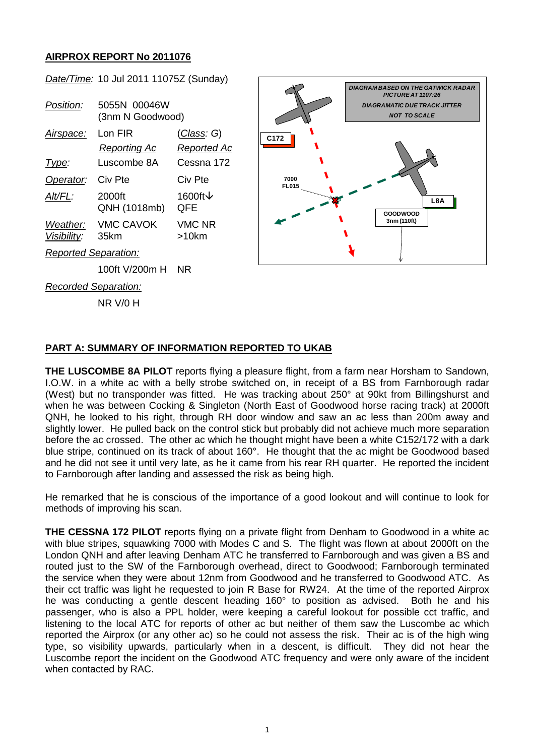## **AIRPROX REPORT No 2011076**

| $\frac{1}{2}$<br><b>DIAGRAM BASED ON THE GATWICK RADAR</b><br>PICTURE AT 1107:26<br>5055N 00046W<br>Position:<br><b>DIAGRAMATIC DUE TRACK JITTER</b><br><b>NOT TO SCALE</b><br>(3nm N Goodwood)<br>Lon FIR<br><u>(Class</u> : G)<br>Airspace:<br>C172<br><b>Reporting Ac</b><br><b>Reported Ac</b><br>Luscombe 8A<br>Cessna 172<br>Type: |  |
|------------------------------------------------------------------------------------------------------------------------------------------------------------------------------------------------------------------------------------------------------------------------------------------------------------------------------------------|--|
|                                                                                                                                                                                                                                                                                                                                          |  |
|                                                                                                                                                                                                                                                                                                                                          |  |
|                                                                                                                                                                                                                                                                                                                                          |  |
|                                                                                                                                                                                                                                                                                                                                          |  |
|                                                                                                                                                                                                                                                                                                                                          |  |
|                                                                                                                                                                                                                                                                                                                                          |  |
| Civ Pte<br>Civ Pte<br>Operator:<br>7000<br><b>FL015</b>                                                                                                                                                                                                                                                                                  |  |
| 1600ft ↓<br>$Alt/FL$ :<br>2000ft<br>L8A                                                                                                                                                                                                                                                                                                  |  |
| QNH (1018mb)<br>QFE<br><b>GOODWOOD</b>                                                                                                                                                                                                                                                                                                   |  |
| 3nm (110ft)<br><b>VMC CAVOK</b><br><b>VMC NR</b><br>Weather:                                                                                                                                                                                                                                                                             |  |
| Visibility:<br>35km<br>$>10$ km                                                                                                                                                                                                                                                                                                          |  |
| <b>Reported Separation:</b>                                                                                                                                                                                                                                                                                                              |  |
| 100ft V/200m H<br><b>NR</b>                                                                                                                                                                                                                                                                                                              |  |
| Recorded Separation:                                                                                                                                                                                                                                                                                                                     |  |
| <b>NR V/0 H</b>                                                                                                                                                                                                                                                                                                                          |  |

*Date/Time:* 10 Jul 2011 11075Z (Sunday)

## **PART A: SUMMARY OF INFORMATION REPORTED TO UKAB**

**THE LUSCOMBE 8A PILOT** reports flying a pleasure flight, from a farm near Horsham to Sandown, I.O.W. in a white ac with a belly strobe switched on, in receipt of a BS from Farnborough radar (West) but no transponder was fitted. He was tracking about 250° at 90kt from Billingshurst and when he was between Cocking & Singleton (North East of Goodwood horse racing track) at 2000ft QNH, he looked to his right, through RH door window and saw an ac less than 200m away and slightly lower. He pulled back on the control stick but probably did not achieve much more separation before the ac crossed. The other ac which he thought might have been a white C152/172 with a dark blue stripe, continued on its track of about 160°. He thought that the ac might be Goodwood based and he did not see it until very late, as he it came from his rear RH quarter. He reported the incident to Farnborough after landing and assessed the risk as being high.

He remarked that he is conscious of the importance of a good lookout and will continue to look for methods of improving his scan.

**THE CESSNA 172 PILOT** reports flying on a private flight from Denham to Goodwood in a white ac with blue stripes, squawking 7000 with Modes C and S. The flight was flown at about 2000ft on the London QNH and after leaving Denham ATC he transferred to Farnborough and was given a BS and routed just to the SW of the Farnborough overhead, direct to Goodwood; Farnborough terminated the service when they were about 12nm from Goodwood and he transferred to Goodwood ATC. As their cct traffic was light he requested to join R Base for RW24. At the time of the reported Airprox he was conducting a gentle descent heading 160° to position as advised. Both he and his passenger, who is also a PPL holder, were keeping a careful lookout for possible cct traffic, and listening to the local ATC for reports of other ac but neither of them saw the Luscombe ac which reported the Airprox (or any other ac) so he could not assess the risk. Their ac is of the high wing<br>type, so visibility upwards, particularly when in a descent, is difficult. They did not hear the type, so visibility upwards, particularly when in a descent, is difficult. Luscombe report the incident on the Goodwood ATC frequency and were only aware of the incident when contacted by RAC.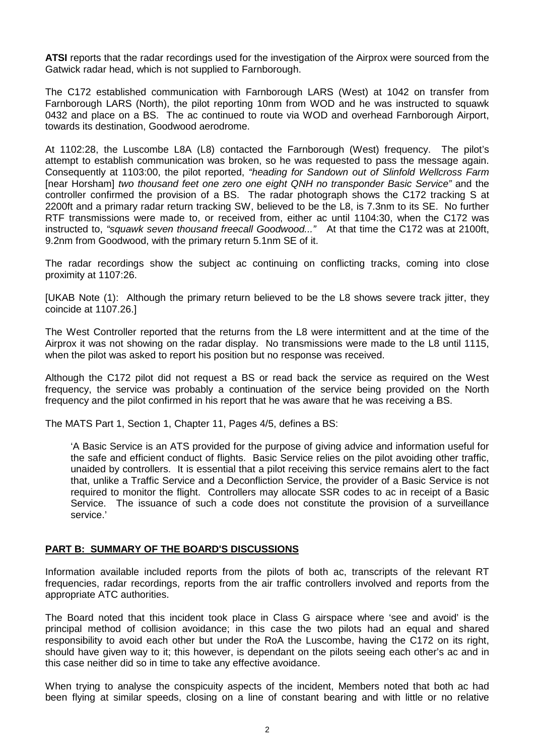**ATSI** reports that the radar recordings used for the investigation of the Airprox were sourced from the Gatwick radar head, which is not supplied to Farnborough.

The C172 established communication with Farnborough LARS (West) at 1042 on transfer from Farnborough LARS (North), the pilot reporting 10nm from WOD and he was instructed to squawk 0432 and place on a BS. The ac continued to route via WOD and overhead Farnborough Airport, towards its destination, Goodwood aerodrome.

At 1102:28, the Luscombe L8A (L8) contacted the Farnborough (West) frequency. The pilot's attempt to establish communication was broken, so he was requested to pass the message again. Consequently at 1103:00, the pilot reported, *"heading for Sandown out of Slinfold Wellcross Farm*  [near Horsham] *two thousand feet one zero one eight QNH no transponder Basic Service"* and the controller confirmed the provision of a BS. The radar photograph shows the C172 tracking S at 2200ft and a primary radar return tracking SW, believed to be the L8, is 7.3nm to its SE. No further RTF transmissions were made to, or received from, either ac until 1104:30, when the C172 was instructed to, *"squawk seven thousand freecall Goodwood..."* At that time the C172 was at 2100ft, 9.2nm from Goodwood, with the primary return 5.1nm SE of it.

The radar recordings show the subject ac continuing on conflicting tracks, coming into close proximity at 1107:26.

[UKAB Note (1): Although the primary return believed to be the L8 shows severe track jitter, they coincide at 1107.26.]

The West Controller reported that the returns from the L8 were intermittent and at the time of the Airprox it was not showing on the radar display. No transmissions were made to the L8 until 1115, when the pilot was asked to report his position but no response was received.

Although the C172 pilot did not request a BS or read back the service as required on the West frequency, the service was probably a continuation of the service being provided on the North frequency and the pilot confirmed in his report that he was aware that he was receiving a BS.

The MATS Part 1, Section 1, Chapter 11, Pages 4/5, defines a BS:

'A Basic Service is an ATS provided for the purpose of giving advice and information useful for the safe and efficient conduct of flights. Basic Service relies on the pilot avoiding other traffic, unaided by controllers. It is essential that a pilot receiving this service remains alert to the fact that, unlike a Traffic Service and a Deconfliction Service, the provider of a Basic Service is not required to monitor the flight. Controllers may allocate SSR codes to ac in receipt of a Basic Service. The issuance of such a code does not constitute the provision of a surveillance service.'

## **PART B: SUMMARY OF THE BOARD'S DISCUSSIONS**

Information available included reports from the pilots of both ac, transcripts of the relevant RT frequencies, radar recordings, reports from the air traffic controllers involved and reports from the appropriate ATC authorities.

The Board noted that this incident took place in Class G airspace where 'see and avoid' is the principal method of collision avoidance; in this case the two pilots had an equal and shared responsibility to avoid each other but under the RoA the Luscombe, having the C172 on its right, should have given way to it; this however, is dependant on the pilots seeing each other's ac and in this case neither did so in time to take any effective avoidance.

When trying to analyse the conspicuity aspects of the incident, Members noted that both ac had been flying at similar speeds, closing on a line of constant bearing and with little or no relative